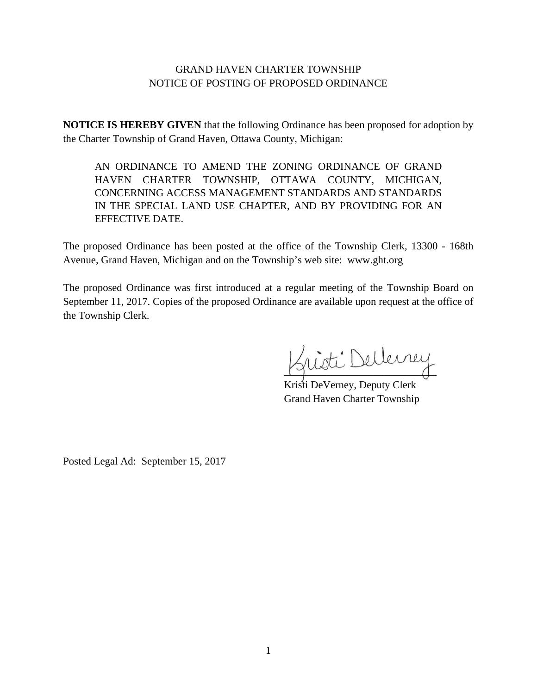## GRAND HAVEN CHARTER TOWNSHIP NOTICE OF POSTING OF PROPOSED ORDINANCE

**NOTICE IS HEREBY GIVEN** that the following Ordinance has been proposed for adoption by the Charter Township of Grand Haven, Ottawa County, Michigan:

AN ORDINANCE TO AMEND THE ZONING ORDINANCE OF GRAND HAVEN CHARTER TOWNSHIP, OTTAWA COUNTY, MICHIGAN, CONCERNING ACCESS MANAGEMENT STANDARDS AND STANDARDS IN THE SPECIAL LAND USE CHAPTER, AND BY PROVIDING FOR AN EFFECTIVE DATE.

The proposed Ordinance has been posted at the office of the Township Clerk, 13300 - 168th Avenue, Grand Haven, Michigan and on the Township's web site: www.ght.org

The proposed Ordinance was first introduced at a regular meeting of the Township Board on September 11, 2017. Copies of the proposed Ordinance are available upon request at the office of the Township Clerk.

nisti Dellerrey

Kristi DeVerney, Deputy Clerk Grand Haven Charter Township

Posted Legal Ad: September 15, 2017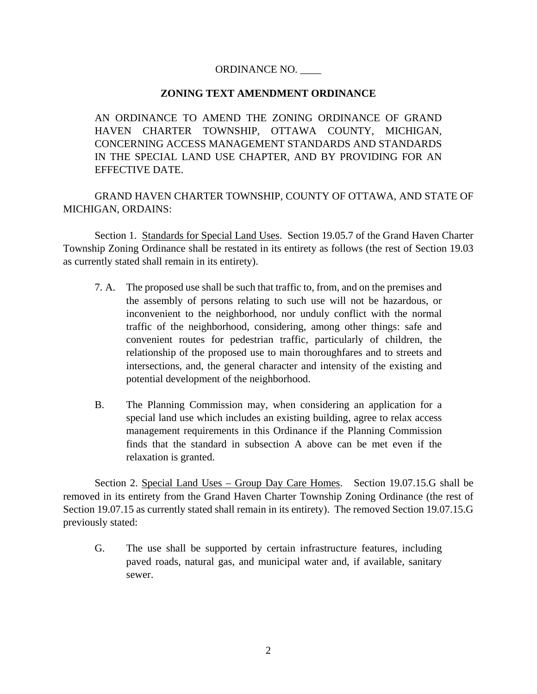## ORDINANCE NO. \_\_\_\_

## **ZONING TEXT AMENDMENT ORDINANCE**

AN ORDINANCE TO AMEND THE ZONING ORDINANCE OF GRAND HAVEN CHARTER TOWNSHIP, OTTAWA COUNTY, MICHIGAN, CONCERNING ACCESS MANAGEMENT STANDARDS AND STANDARDS IN THE SPECIAL LAND USE CHAPTER, AND BY PROVIDING FOR AN EFFECTIVE DATE.

GRAND HAVEN CHARTER TOWNSHIP, COUNTY OF OTTAWA, AND STATE OF MICHIGAN, ORDAINS:

Section 1. Standards for Special Land Uses. Section 19.05.7 of the Grand Haven Charter Township Zoning Ordinance shall be restated in its entirety as follows (the rest of Section 19.03 as currently stated shall remain in its entirety).

- 7. A. The proposed use shall be such that traffic to, from, and on the premises and the assembly of persons relating to such use will not be hazardous, or inconvenient to the neighborhood, nor unduly conflict with the normal traffic of the neighborhood, considering, among other things: safe and convenient routes for pedestrian traffic, particularly of children, the relationship of the proposed use to main thoroughfares and to streets and intersections, and, the general character and intensity of the existing and potential development of the neighborhood.
- B. The Planning Commission may, when considering an application for a special land use which includes an existing building, agree to relax access management requirements in this Ordinance if the Planning Commission finds that the standard in subsection A above can be met even if the relaxation is granted.

Section 2. Special Land Uses – Group Day Care Homes. Section 19.07.15.G shall be removed in its entirety from the Grand Haven Charter Township Zoning Ordinance (the rest of Section 19.07.15 as currently stated shall remain in its entirety). The removed Section 19.07.15.G previously stated:

G. The use shall be supported by certain infrastructure features, including paved roads, natural gas, and municipal water and, if available, sanitary sewer.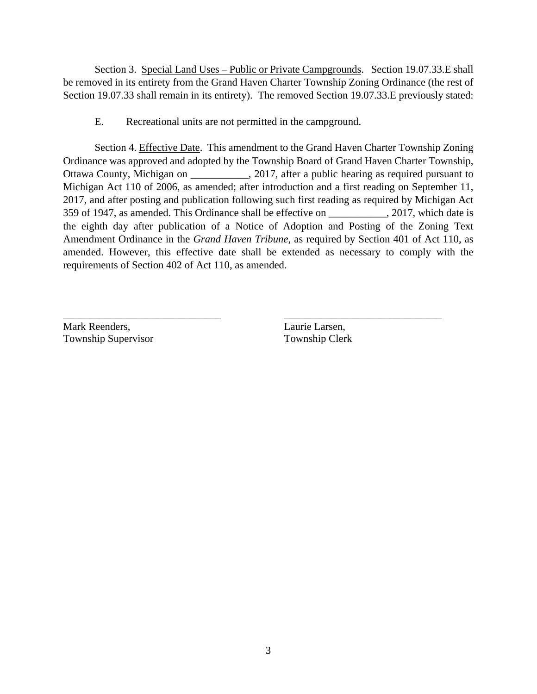Section 3. Special Land Uses – Public or Private Campgrounds. Section 19.07.33. Eshall be removed in its entirety from the Grand Haven Charter Township Zoning Ordinance (the rest of Section 19.07.33 shall remain in its entirety). The removed Section 19.07.33.E previously stated:

E. Recreational units are not permitted in the campground.

Section 4. Effective Date. This amendment to the Grand Haven Charter Township Zoning Ordinance was approved and adopted by the Township Board of Grand Haven Charter Township, Ottawa County, Michigan on  $\qquad \qquad$ , 2017, after a public hearing as required pursuant to Michigan Act 110 of 2006, as amended; after introduction and a first reading on September 11, 2017, and after posting and publication following such first reading as required by Michigan Act 359 of 1947, as amended. This Ordinance shall be effective on \_\_\_\_\_\_\_\_\_\_\_, 2017, which date is the eighth day after publication of a Notice of Adoption and Posting of the Zoning Text Amendment Ordinance in the *Grand Haven Tribune*, as required by Section 401 of Act 110, as amended. However, this effective date shall be extended as necessary to comply with the requirements of Section 402 of Act 110, as amended.

Mark Reenders, Laurie Larsen, Township Supervisor Township Clerk

\_\_\_\_\_\_\_\_\_\_\_\_\_\_\_\_\_\_\_\_\_\_\_\_\_\_\_\_\_\_ \_\_\_\_\_\_\_\_\_\_\_\_\_\_\_\_\_\_\_\_\_\_\_\_\_\_\_\_\_\_